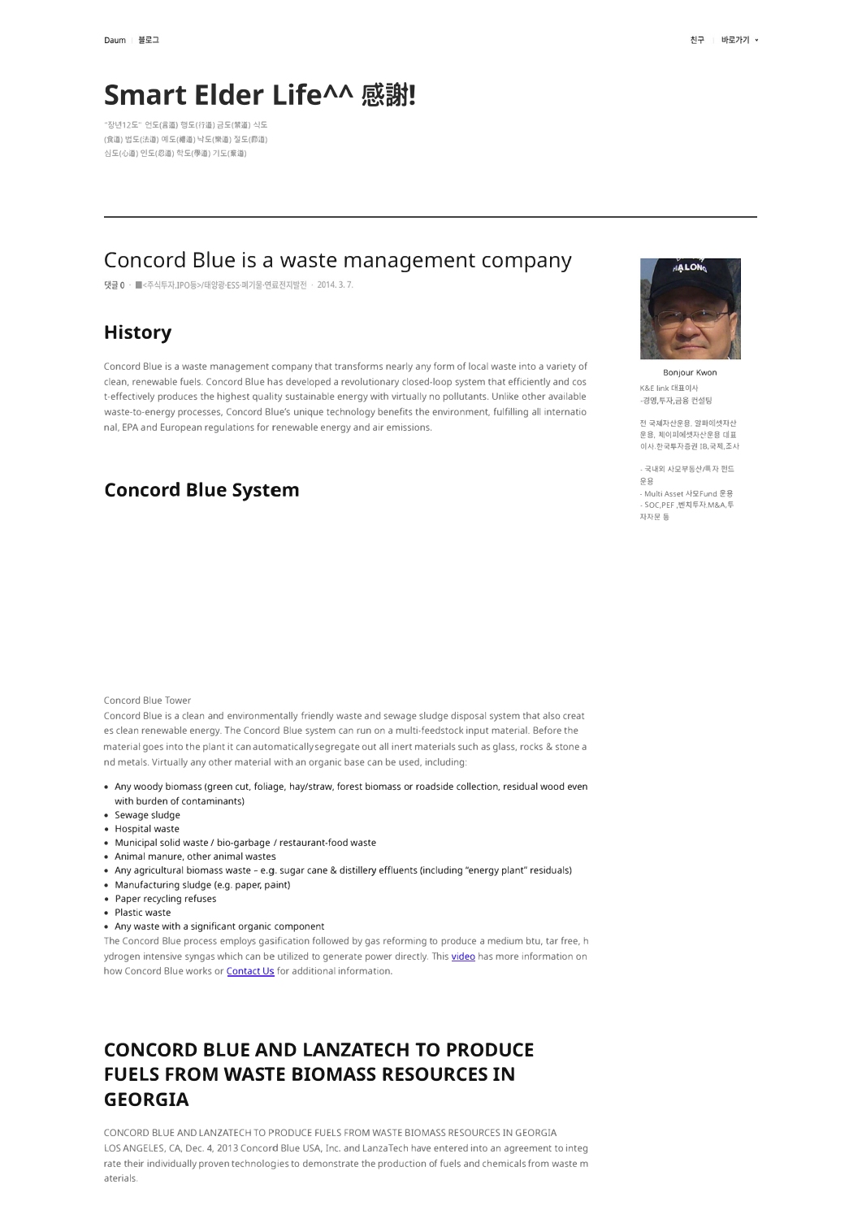# **Smart Elder Life^^ 感謝!**

"장년12도" 언도(言道) 행도(行道) 금도(禁道) 식도 (食道) 법도(法道) 예도(權道) 낙도(樂道) 절도(節道) 심도(心道) 인도(忍道) 학도(學道) 기도(棄道)

### **Concord Blue is a waste management company**

댓글 0 · ■<주식투자.IPO등>/태양광·ESS·폐기물·연료전지발전 · 2014. 3. 7.

# **History**

Concord Blue is a waste management company that transforms nearly any form of local waste into a variety of clean, renewable fuels. Concord Blue has developed a revolutionary closed-loop system that efficiently and cos t-effectively produces the highest quality sustainable energy with virtually no pollutants. Unlike other available waste-to-energy processes, Concord Blue's unique technology benefits the environment, fulfilling all internatio nal, EPA and European regulations for renewable energy and air emissions.

### **Concord Blue System**

Concord Blue Tower

Concord Blue is a clean and environmentally friendly waste and sewage sludge disposal system that also creat es clean renewable energy. The Concord Blue system can run on a multi-feedstock input material. Before the material goes into the plant it can automatically segregate out all inert materials such as glass, rocks & stone a nd metals. Virtually any other material with an organic base can be used, including:

- Any woody biomass (green cut, foliage, hay/straw, forest biomass or roadside collection, residual wood even with burden of contaminants)
- Sewage sludge
- Hospital waste
- Municipal solid waste / bio-garbage / restaurant-food waste
- Animal manure, other animal wastes
- Any agricultural biomass waste e.g. sugar cane & distillery effluents (including "energy plant" residuals)
- Manufacturing sludge (e.g. paper, paint}
- Paper recycling refuses
- Plastic waste
- Any waste with a significant organic component

The Concord Blue process employs gasification followed by gas reforming to produce a medium btu, tar free, h ydrogen intensive syngas which can be utilized to generate power directly. This video has more information on how Concord Blue works or **Contact Us** for additional information.

# **CONCORD BLUE AND LANZATECH TO PRODUCE FUELS FROM WASTE BIOMASS RESOURCES IN GEORGIA**

CONCORD BLUE AND LANZATECH TO PRODUCE FUELS FROM WASTE BIOMASS RESOURCES IN GEORGIA LOS ANGELES, CA, Dec. 4, 2013 Concord Blue USA, Inc. and LanzaTech have entered into an agreement to integ rate their individually proven technologies to demonstrate the production of fuels and chemicals from waste m aterials.



Bonjour Kwon K&E link 대표이사<br>-경영 투자 금융 컨설팅

전 국제자산운용, 알파에셋자산 운용, 제이피에셋자산운용 대표 이사. 한국투자증권 IB,국제, 조사

- 국내외 사모부동산/특자 펀드  $99$ -**Multi Asset** At2Fund �-§ - SOC,PEF ,벤치투자,M&A,투 자자문 등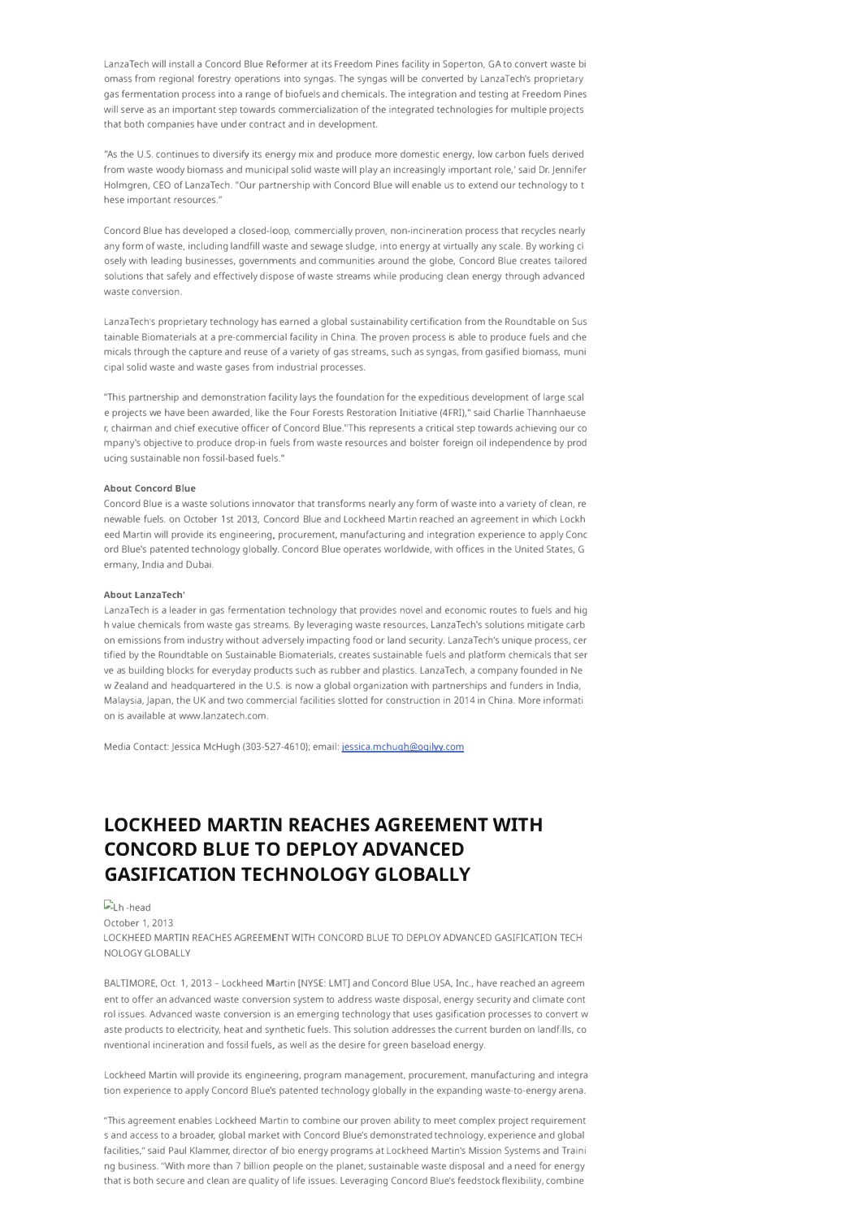LanzaTech will install a Concord Blue Reformer at its Freedom Pines facility in Soperton, GA to convert waste bi omass from regional forestry operations into syngas. The syngas will be converted by LanzaTech's proprietary gas fermentation process into a range of biofuels and chemicals. The integration and testing at Freedom Pines will serve as an important step towards commercialization of the integrated technologies for multiple projects that both companies have under contract and in development.

"As the U.S. continues to diversify its energy mix and produce more domestic energy, low carbon fuels derived from waste woody biomass and municipal solid waste will play an increasingly important role,' said Dr.Jennifer Holmgren, CEO of LanzaTech. "Our partnership with Concord Blue will enable us to extend our technology to t hese important resources."

Concord Blue has developed a closed-loop, commercially proven, non-incineration process that recycles nearly any form of waste, including landfill waste and sewage sludge, into energy at virtually any scale. By working cl osely with leading businesses, governments and communities around the globe, Concord Blue creates tailored solutions that safely and effectively dispose of waste streams while producing clean energy through advanced waste conversion.

LanzaTech's proprietary technology has earned a global sustainability certification from the Roundtable on Sus tainable Biomaterials at a pre-commercial facility in China. The proven process is able to produce fuels and che micals through the capture and reuse of a variety of gas streams, such as syngas, from gasified biomass, muni cipal solid waste and waste gases from industrial processes.

"This partnership and demonstration facility lays the foundation for the expeditious development of large scal e projects we have been awarded, like the Four Forests Restoration Initiative (4FRI)," said Charlie Thannhaeuse r, chairman and chief executive officer of Concord Blue."This represents a critical step towards achieving our eo mpany's objective to produce drop-in fuels from waste resources and bolster foreign oil independence by prod ucing sustainable non fossil-based fuels."

#### **About Concord Blue**

Concord Blue is a waste solutions innovator that transforms nearly any form of waste into a variety of clean, re newable fuels. on October 1 st 2013, Concord Blue and Lockheed Martin reached an agreement in which Lockh eed Martin will provide its engineering, procurement, manufacturing and integration experience to apply Conc ord Blue's patented technology globally. Concord Blue operates worldwide, with offices in the United States, G ermany, India and Dubai.

#### **About LanzaTech'**

LanzaTech is a leader in gas fermentation technology that provides novel and economic routes to fuels and hig h value chemicals from waste gas streams. By leveraging waste resources, LanzaTech's solutions mitigate carb on emissions from industry without adversely impacting food or land security. LanzaTech's unique process, cer tified by the Roundtable on Sustainable Biomaterials, creates sustainable fuels and platform chemicals that ser ve as building blocks for everyday products such as rubber and plastics. LanzaTech, a company founded in Ne w Zealand and headquartered in the U.S. is now a global organization with partnerships and funders in India, Malaysia, Japan, the UK and two commercial facilities slotted for construction in 2014 in China. More informati on is available at www.lanzatech.com.

Media Contact: Jessica McHugh (303-527-4610); email: jessica.mchugh@ogilvy.com

# **LOCKHEED MARTIN REACHES AGREEMENT WITH CONCORD BLUE TO DEPLOY ADVANCED GASIFICATION TECHNOLOGY GLOBALLY**

#### **ELh** -head

October 1, 2013

LOCKHEED MARTIN REACHES AGREEMENT WITH CONCORD BLUE TO DEPLOY ADVANCED GASIFICATION TECH NOLOGY GLOBALLY

BALTIMORE, Oct. 1, 2013- Lockheed Martin [NYSE: LMT] and Concord Blue USA, Inc., have reached an agreem ent to offer an advanced waste conversion system to address waste disposal, energy security and climate cont rol issues. Advanced waste conversion is an emerging technology that uses gasification processes to convert w aste products to electricity, heat and synthetic fuels. This solution addresses the current burden on landfills, eo nventional incineration and fossil fuels, as weil as the desire for green baseload energy.

Lockheed Martin will provide its engineering, program management, procurement, manufacturing and integra tion experience to apply Concord Blue's patented technology globally in the expanding waste-to-energy arena.

''This agreement enables Lockheed Martin to combine our proven ability to meet complex project requirement s and access to a broader, global market with Concord Blue's demonstrated technology, experience and global facilities," said Paul Klammer, director of bio energy programs at Lockheed Martin's Mission Systems and Traini ng business. "With more than 7 billion people on the planet, sustainable waste disposal and a need for energy that is both secure and clean are quality of life issues. Leveraging Concord Blue's feedstock flexibility, combine